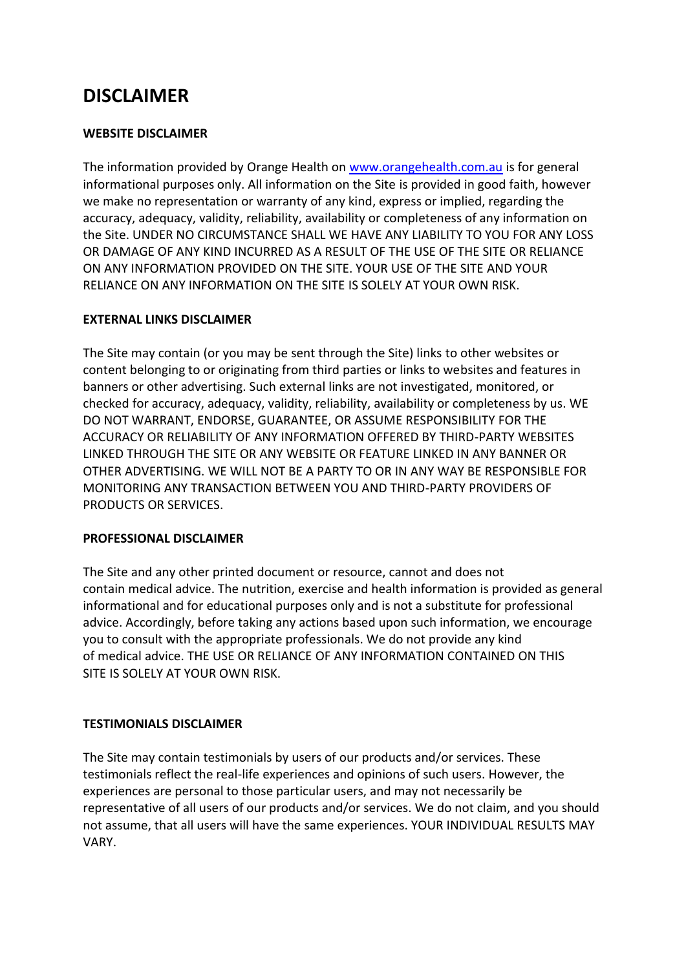# **DISCLAIMER**

### **WEBSITE DISCLAIMER**

The information provided by Orange Health on [www.orangehealth.com.au](http://www.orangehealth.com.au/) is for general informational purposes only. All information on the Site is provided in good faith, however we make no representation or warranty of any kind, express or implied, regarding the accuracy, adequacy, validity, reliability, availability or completeness of any information on the Site. UNDER NO CIRCUMSTANCE SHALL WE HAVE ANY LIABILITY TO YOU FOR ANY LOSS OR DAMAGE OF ANY KIND INCURRED AS A RESULT OF THE USE OF THE SITE OR RELIANCE ON ANY INFORMATION PROVIDED ON THE SITE. YOUR USE OF THE SITE AND YOUR RELIANCE ON ANY INFORMATION ON THE SITE IS SOLELY AT YOUR OWN RISK.

### **EXTERNAL LINKS DISCLAIMER**

The Site may contain (or you may be sent through the Site) links to other websites or content belonging to or originating from third parties or links to websites and features in banners or other advertising. Such external links are not investigated, monitored, or checked for accuracy, adequacy, validity, reliability, availability or completeness by us. WE DO NOT WARRANT, ENDORSE, GUARANTEE, OR ASSUME RESPONSIBILITY FOR THE ACCURACY OR RELIABILITY OF ANY INFORMATION OFFERED BY THIRD-PARTY WEBSITES LINKED THROUGH THE SITE OR ANY WEBSITE OR FEATURE LINKED IN ANY BANNER OR OTHER ADVERTISING. WE WILL NOT BE A PARTY TO OR IN ANY WAY BE RESPONSIBLE FOR MONITORING ANY TRANSACTION BETWEEN YOU AND THIRD-PARTY PROVIDERS OF PRODUCTS OR SERVICES.

#### **PROFESSIONAL DISCLAIMER**

The Site and any other printed document or resource, cannot and does not contain medical advice. The nutrition, exercise and health information is provided as general informational and for educational purposes only and is not a substitute for professional advice. Accordingly, before taking any actions based upon such information, we encourage you to consult with the appropriate professionals. We do not provide any kind of medical advice. THE USE OR RELIANCE OF ANY INFORMATION CONTAINED ON THIS SITE IS SOLELY AT YOUR OWN RISK.

## **TESTIMONIALS DISCLAIMER**

The Site may contain testimonials by users of our products and/or services. These testimonials reflect the real-life experiences and opinions of such users. However, the experiences are personal to those particular users, and may not necessarily be representative of all users of our products and/or services. We do not claim, and you should not assume, that all users will have the same experiences. YOUR INDIVIDUAL RESULTS MAY VARY.